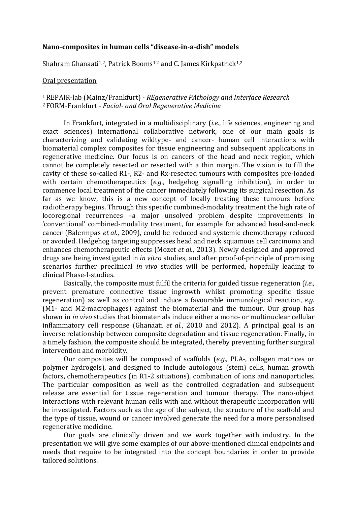#### **Nano-composites in human cells "disease-in-a-dish" models**

## Shahram Ghanaati<sup>1,2</sup>, Patrick Booms<sup>1,2</sup> and C. James Kirkpatrick<sup>1,2</sup>

### Oral presentation

# <sup>1</sup>REPAIR-lab (Mainz/Frankfurt) - *REgenerative PAthology and Interface Research*  <sup>2</sup>FORM-Frankfurt - *Facial- and Oral Regenerative Medicine*

In Frankfurt, integrated in a multidisciplinary (*i.e.*, life sciences, engineering and exact sciences) international collaborative network, one of our main goals is characterizing and validating wildtype- and cancer- human cell interactions with biomaterial complex composites for tissue engineering and subsequent applications in regenerative medicine. Our focus is on cancers of the head and neck region, which cannot be completely resected or resected with a thin margin. The vision is to fill the cavity of these so-called R1-, R2- and Rx-resected tumours with composites pre-loaded with certain chemotherapeutics (*e.g.*, hedgehog signalling inhibition), in order to commence local treatment of the cancer immediately following its surgical resection. As far as we know, this is a new concept of locally treating these tumours before radiotherapy begins. Through this specific combined-modality treatment the high rate of locoregional recurrences –a major unsolved problem despite improvements in 'conventional' combined-modality treatment, for example for advanced head-and-neck cancer (Balermpas *et al.*, 2009), could be reduced and systemic chemotherapy reduced or avoided. Hedgehog targeting suppresses head and neck squamous cell carcinoma and enhances chemotherapeutic effects (Mozet *et al.*, 2013). Newly designed and approved drugs are being investigated in *in vitro* studies, and after proof-of-principle of promising scenarios further preclinical *in vivo* studies will be performed, hopefully leading to clinical Phase-I-studies.

Basically, the composite must fulfil the criteria for guided tissue regeneration (*i.e.*, prevent premature connective tissue ingrowth whilst promoting specific tissue regeneration) as well as control and induce a favourable immunological reaction, *e.g.* (M1- and M2-macrophages) against the biomaterial and the tumour. Our group has shown in *in vivo* studies that biomaterials induce either a mono- or multinuclear cellular inflammatory cell response (Ghanaati *et al.*, 2010 and 2012). A principal goal is an inverse relationship between composite degradation and tissue regeneration. Finally, in a timely fashion, the composite should be integrated, thereby preventing further surgical intervention and morbidity.

Our composites will be composed of scaffolds (*e.g.*, PLA-, collagen matrices or polymer hydrogels), and designed to include autologous (stem) cells, human growth factors, chemotherapeutics (in R1-2 situations), combination of ions and nanoparticles. The particular composition as well as the controlled degradation and subsequent release are essential for tissue regeneration and tumour therapy. The nano-object interactions with relevant human cells with and without therapeutic incorporation will be investigated. Factors such as the age of the subject, the structure of the scaffold and the type of tissue, wound or cancer involved generate the need for a more personalised regenerative medicine.

Our goals are clinically driven and we work together with industry. In the presentation we will give some examples of our above-mentioned clinical endpoints and needs that require to be integrated into the concept boundaries in order to provide tailored solutions.